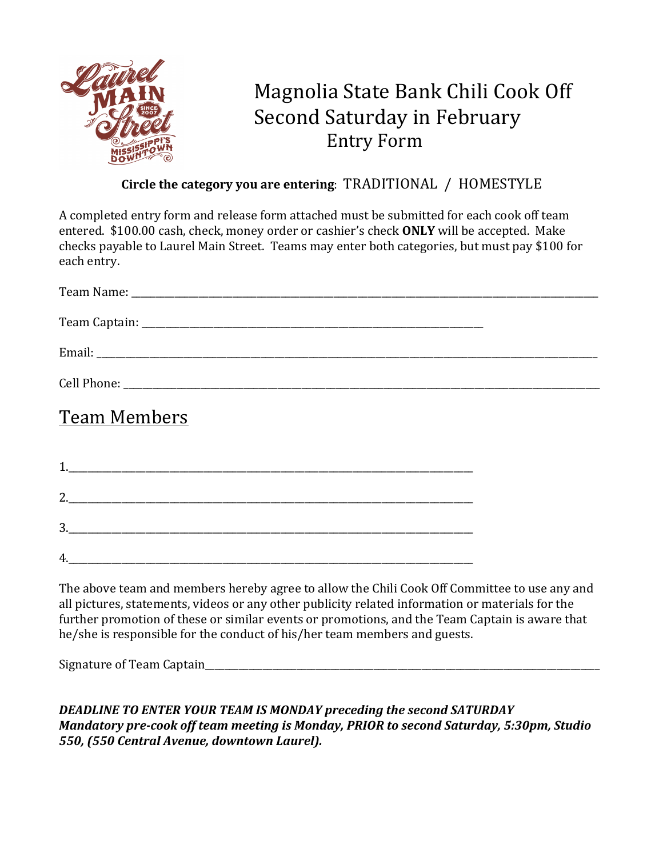

## Magnolia State Bank Chili Cook Off Second Saturday in February Entry Form

## **Circle the category you are entering: TRADITIONAL / HOMESTYLE**

A completed entry form and release form attached must be submitted for each cook off team entered. \$100.00 cash, check, money order or cashier's check **ONLY** will be accepted. Make checks payable to Laurel Main Street. Teams may enter both categories, but must pay \$100 for each entry.

| <b>Team Members</b> |  |
|---------------------|--|
|                     |  |

3.\_\_\_\_\_\_\_\_\_\_\_\_\_\_\_\_\_\_\_\_\_\_\_\_\_\_\_\_\_\_\_\_\_\_\_\_\_\_\_\_\_\_\_\_\_\_\_\_\_\_\_\_\_\_\_\_\_\_\_\_\_\_\_\_\_\_\_\_\_\_\_\_\_\_\_\_\_\_\_\_\_\_\_\_  $4.$ 

2.

The above team and members hereby agree to allow the Chili Cook Off Committee to use any and all pictures, statements, videos or any other publicity related information or materials for the further promotion of these or similar events or promotions, and the Team Captain is aware that he/she is responsible for the conduct of his/her team members and guests.

Signature of Team Captain  $\Box$ 

**DEADLINE TO ENTER YOUR TEAM IS MONDAY preceding the second SATURDAY** *Mandatory pre-cook off team meeting is Monday, PRIOR to second Saturday, 5:30pm, Studio* 550, (550 Central Avenue, downtown Laurel).